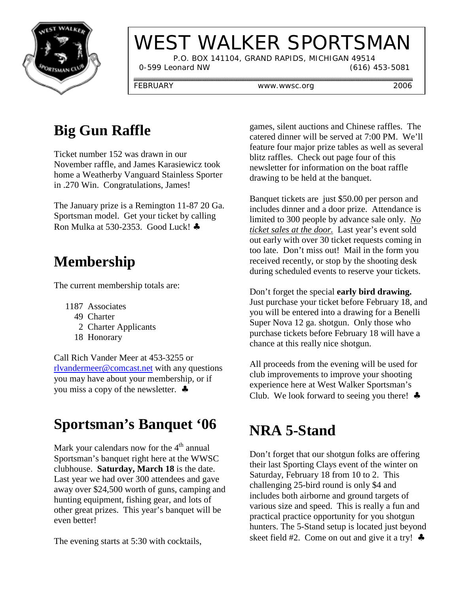

# WEST WALKER SPORTSMAN

 P.O. BOX 141104, GRAND RAPIDS, MICHIGAN 49514 0-599 Leonard NW (616) 453-5081

FEBRUARY www.wwsc.org 2006

## **Big Gun Raffle**

Ticket number 152 was drawn in our November raffle, and James Karasiewicz took home a Weatherby Vanguard Stainless Sporter in .270 Win. Congratulations, James!

The January prize is a Remington 11-87 20 Ga. Sportsman model. Get your ticket by calling Ron Mulka at 530-2353. Good Luck! ♣

## **Membership**

The current membership totals are:

- 1187 Associates
	- 49 Charter
		- 2 Charter Applicants
	- 18 Honorary

Call Rich Vander Meer at 453-3255 or rlvandermeer@comcast.net with any questions you may have about your membership, or if you miss a copy of the newsletter. ♣

## **Sportsman's Banquet '06**

Mark your calendars now for the  $4<sup>th</sup>$  annual Sportsman's banquet right here at the WWSC clubhouse. **Saturday, March 18** is the date. Last year we had over 300 attendees and gave away over \$24,500 worth of guns, camping and hunting equipment, fishing gear, and lots of other great prizes. This year's banquet will be even better!

The evening starts at 5:30 with cocktails,

games, silent auctions and Chinese raffles. The catered dinner will be served at 7:00 PM. We'll feature four major prize tables as well as several blitz raffles. Check out page four of this newsletter for information on the boat raffle drawing to be held at the banquet.

Banquet tickets are just \$50.00 per person and includes dinner and a door prize. Attendance is limited to 300 people by advance sale only. *No ticket sales at the door.* Last year's event sold out early with over 30 ticket requests coming in too late. Don't miss out! Mail in the form you received recently, or stop by the shooting desk during scheduled events to reserve your tickets.

Don't forget the special **early bird drawing.** Just purchase your ticket before February 18, and you will be entered into a drawing for a Benelli Super Nova 12 ga. shotgun. Only those who purchase tickets before February 18 will have a chance at this really nice shotgun.

All proceeds from the evening will be used for club improvements to improve your shooting experience here at West Walker Sportsman's Club. We look forward to seeing you there!  $\triangle$ 

## **NRA 5-Stand**

Don't forget that our shotgun folks are offering their last Sporting Clays event of the winter on Saturday, February 18 from 10 to 2. This challenging 25-bird round is only \$4 and includes both airborne and ground targets of various size and speed. This is really a fun and practical practice opportunity for you shotgun hunters. The 5-Stand setup is located just beyond skeet field #2. Come on out and give it a try!  $\triangle$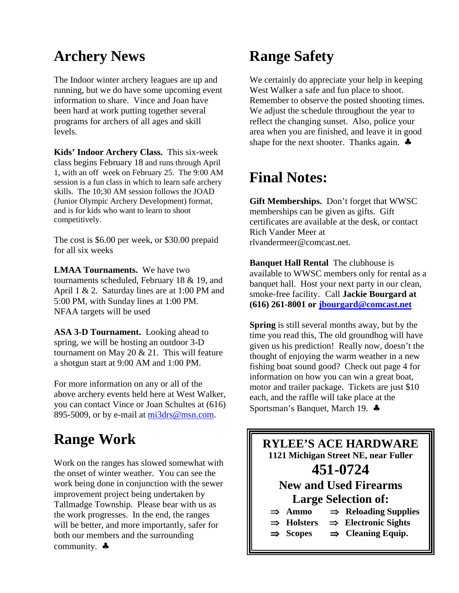#### **Archery News**

The Indoor winter archery leagues are up and running, but we do have some upcoming event information to share. Vince and Joan have been hard at work putting together several programs for archers of all ages and skill levels.

**Kids' Indoor Archery Class.** This six-week class begins February 18 and runs through April 1, with an off week on February 25. The 9:00 AM session is a fun class in which to learn safe archery skills. The 10;30 AM session follows the JOAD (Junior Olympic Archery Development) format, and is for kids who want to learn to shoot competitively.

The cost is \$6.00 per week, or \$30.00 prepaid for all six weeks

**LMAA Tournaments.** We have two tournaments scheduled, February 18 & 19, and April 1 & 2. Saturday lines are at 1:00 PM and 5:00 PM, with Sunday lines at 1:00 PM. NFAA targets will be used

**ASA 3-D Tournament.** Looking ahead to spring, we will be hosting an outdoor 3-D tournament on May 20  $& 21$ . This will feature a shotgun start at 9:00 AM and 1:00 PM.

For more information on any or all of the above archery events held here at West Walker, you can contact Vince or Joan Schultes at (616) 895-5009, or by e-mail at mi3drs@msn.com.

## **Range Work**

Work on the ranges has slowed somewhat with the onset of winter weather. You can see the work being done in conjunction with the sewer improvement project being undertaken by Tallmadge Township. Please bear with us as the work progresses. In the end, the ranges will be better, and more importantly, safer for both our members and the surrounding community. ♣

#### **Range Safety**

We certainly do appreciate your help in keeping West Walker a safe and fun place to shoot. Remember to observe the posted shooting times. We adjust the schedule throughout the year to reflect the changing sunset. Also, police your area when you are finished, and leave it in good shape for the next shooter. Thanks again. ♣

#### **Final Notes:**

**Gift Memberships.** Don't forget that WWSC memberships can be given as gifts. Gift certificates are available at the desk, or contact Rich Vander Meer at rlvandermeer@comcast.net.

**Banquet Hall Rental** The clubhouse is available to WWSC members only for rental as a banquet hall. Host your next party in our clean, smoke-free facility. Call **Jackie Bourgard at (616) 261-8001 or jbourgard@comcast.net**

**Spring** is still several months away, but by the time you read this, The old groundhog will have given us his prediction! Really now, doesn't the thought of enjoying the warm weather in a new fishing boat sound good? Check out page 4 for information on how you can win a great boat, motor and trailer package. Tickets are just \$10 each, and the raffle will take place at the Sportsman's Banquet, March 19. ♣

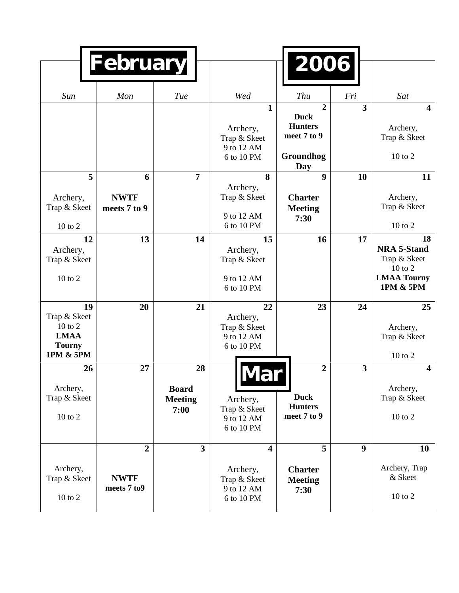|                                                                            | <b>February</b>                              |                                              |                                                                                 | 2006                                                                        |                         |                                                                                            |
|----------------------------------------------------------------------------|----------------------------------------------|----------------------------------------------|---------------------------------------------------------------------------------|-----------------------------------------------------------------------------|-------------------------|--------------------------------------------------------------------------------------------|
| Sun                                                                        | Mon                                          | Tue                                          | Wed                                                                             | Thu                                                                         | Fri                     | Sat                                                                                        |
|                                                                            |                                              |                                              | $\mathbf{1}$<br>Archery,<br>Trap & Skeet<br>9 to 12 AM<br>6 to 10 PM            | $\overline{2}$<br><b>Duck</b><br><b>Hunters</b><br>meet 7 to 9<br>Groundhog | $\overline{\mathbf{3}}$ | $\overline{\mathbf{4}}$<br>Archery,<br>Trap & Skeet<br>10 to 2                             |
|                                                                            |                                              |                                              |                                                                                 | Day                                                                         |                         |                                                                                            |
| 5<br>Archery,<br>Trap & Skeet<br>10 to 2                                   | 6<br><b>NWTF</b><br>meets 7 to 9             | $\overline{7}$                               | 8<br>Archery,<br>Trap & Skeet<br>9 to 12 AM<br>6 to 10 PM                       | $\boldsymbol{9}$<br><b>Charter</b><br><b>Meeting</b><br>7:30                | 10                      | 11<br>Archery,<br>Trap & Skeet<br>10 to 2                                                  |
| 12<br>Archery,<br>Trap & Skeet<br>$10$ to $2$                              | 13                                           | 14                                           | 15<br>Archery,<br>Trap & Skeet<br>9 to 12 AM<br>6 to 10 PM                      | 16                                                                          | 17                      | 18<br><b>NRA 5-Stand</b><br>Trap & Skeet<br>$10$ to $2$<br><b>LMAA Tourny</b><br>1PM & 5PM |
| 19<br>Trap & Skeet<br>10 to 2<br><b>LMAA</b><br><b>Tourny</b><br>1PM & 5PM | 20                                           | 21                                           | 22<br>Archery,<br>Trap & Skeet<br>9 to 12 AM<br>6 to 10 PM                      | 23                                                                          | 24                      | 25<br>Archery,<br>Trap & Skeet<br>$10$ to $2$                                              |
| 26<br>Archery,<br>Trap & Skeet<br>10 to 2                                  | 27                                           | 28<br><b>Board</b><br><b>Meeting</b><br>7:00 | Archery,<br>Trap & Skeet<br>9 to 12 AM<br>6 to 10 PM                            | $\overline{2}$<br><b>Duck</b><br><b>Hunters</b><br>meet 7 to 9              | $\overline{\mathbf{3}}$ | $\overline{\mathbf{4}}$<br>Archery,<br>Trap & Skeet<br>10 to 2                             |
| Archery,<br>Trap & Skeet<br>$10$ to $2$                                    | $\overline{2}$<br><b>NWTF</b><br>meets 7 to9 | $\overline{3}$                               | $\overline{\mathbf{4}}$<br>Archery,<br>Trap & Skeet<br>9 to 12 AM<br>6 to 10 PM | 5<br><b>Charter</b><br><b>Meeting</b><br>7:30                               | $\boldsymbol{9}$        | 10<br>Archery, Trap<br>& Skeet<br>10 to 2                                                  |